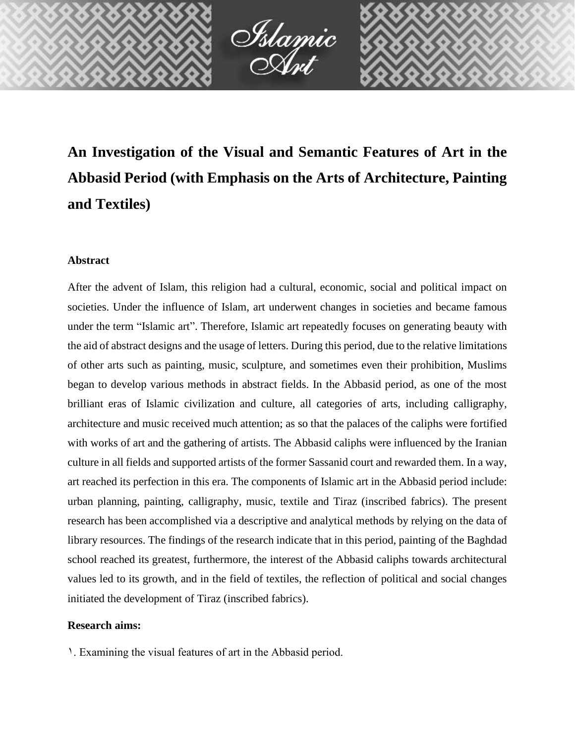

**An Investigation of the Visual and Semantic Features of Art in the Abbasid Period (with Emphasis on the Arts of Architecture, Painting and Textiles)**

## **Abstract**

After the advent of Islam, this religion had a cultural, economic, social and political impact on societies. Under the influence of Islam, art underwent changes in societies and became famous under the term "Islamic art". Therefore, Islamic art repeatedly focuses on generating beauty with the aid of abstract designs and the usage of letters. During this period, due to the relative limitations of other arts such as painting, music, sculpture, and sometimes even their prohibition, Muslims began to develop various methods in abstract fields. In the Abbasid period, as one of the most brilliant eras of Islamic civilization and culture, all categories of arts, including calligraphy, architecture and music received much attention; as so that the palaces of the caliphs were fortified with works of art and the gathering of artists. The Abbasid caliphs were influenced by the Iranian culture in all fields and supported artists of the former Sassanid court and rewarded them. In a way, art reached its perfection in this era. The components of Islamic art in the Abbasid period include: urban planning, painting, calligraphy, music, textile and Tiraz (inscribed fabrics). The present research has been accomplished via a descriptive and analytical methods by relying on the data of library resources. The findings of the research indicate that in this period, painting of the Baghdad school reached its greatest, furthermore, the interest of the Abbasid caliphs towards architectural values led to its growth, and in the field of textiles, the reflection of political and social changes initiated the development of Tiraz (inscribed fabrics).

# **Research aims:**

1. Examining the visual features of art in the Abbasid period.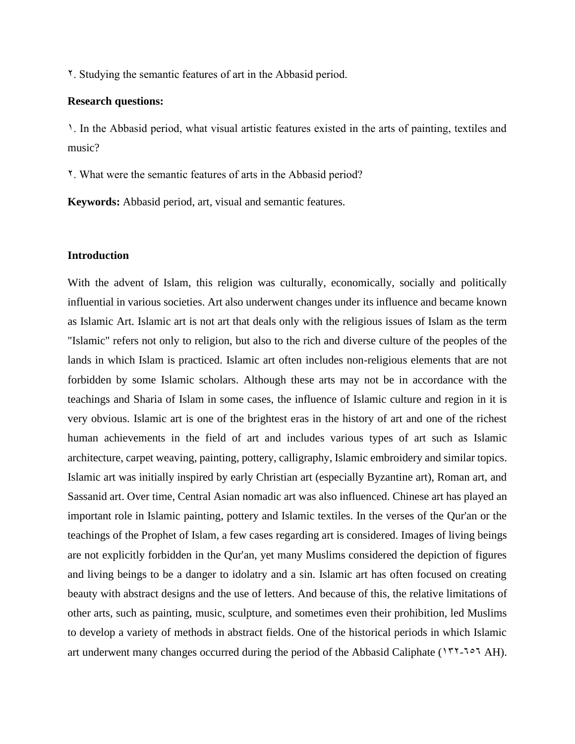2. Studying the semantic features of art in the Abbasid period.

#### **Research questions:**

1. In the Abbasid period, what visual artistic features existed in the arts of painting, textiles and music?

2. What were the semantic features of arts in the Abbasid period?

**Keywords:** Abbasid period, art, visual and semantic features.

## **Introduction**

With the advent of Islam, this religion was culturally, economically, socially and politically influential in various societies. Art also underwent changes under its influence and became known as Islamic Art. Islamic art is not art that deals only with the religious issues of Islam as the term "Islamic" refers not only to religion, but also to the rich and diverse culture of the peoples of the lands in which Islam is practiced. Islamic art often includes non-religious elements that are not forbidden by some Islamic scholars. Although these arts may not be in accordance with the teachings and Sharia of Islam in some cases, the influence of Islamic culture and region in it is very obvious. Islamic art is one of the brightest eras in the history of art and one of the richest human achievements in the field of art and includes various types of art such as Islamic architecture, carpet weaving, painting, pottery, calligraphy, Islamic embroidery and similar topics. Islamic art was initially inspired by early Christian art (especially Byzantine art), Roman art, and Sassanid art. Over time, Central Asian nomadic art was also influenced. Chinese art has played an important role in Islamic painting, pottery and Islamic textiles. In the verses of the Qur'an or the teachings of the Prophet of Islam, a few cases regarding art is considered. Images of living beings are not explicitly forbidden in the Qur'an, yet many Muslims considered the depiction of figures and living beings to be a danger to idolatry and a sin. Islamic art has often focused on creating beauty with abstract designs and the use of letters. And because of this, the relative limitations of other arts, such as painting, music, sculpture, and sometimes even their prohibition, led Muslims to develop a variety of methods in abstract fields. One of the historical periods in which Islamic art underwent many changes occurred during the period of the Abbasid Caliphate ( $177-7°7$  AH).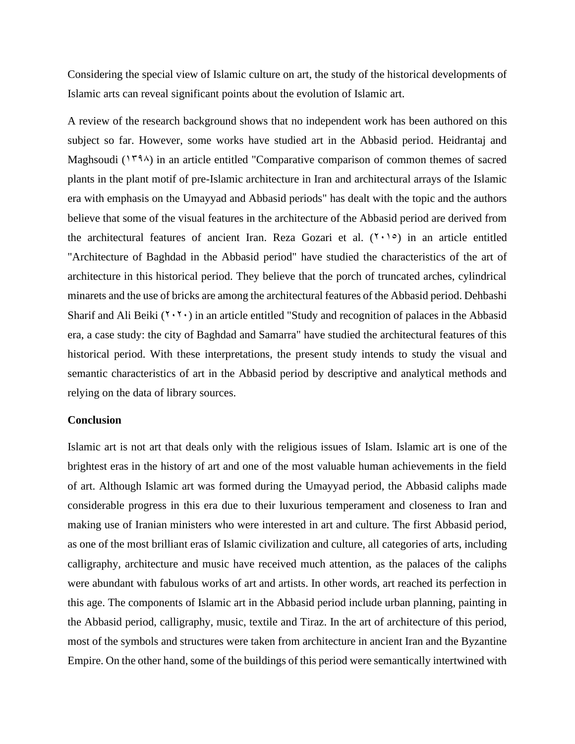Considering the special view of Islamic culture on art, the study of the historical developments of Islamic arts can reveal significant points about the evolution of Islamic art.

A review of the research background shows that no independent work has been authored on this subject so far. However, some works have studied art in the Abbasid period. Heidrantaj and Maghsoudi ( $179\lambda$ ) in an article entitled "Comparative comparison of common themes of sacred plants in the plant motif of pre-Islamic architecture in Iran and architectural arrays of the Islamic era with emphasis on the Umayyad and Abbasid periods" has dealt with the topic and the authors believe that some of the visual features in the architecture of the Abbasid period are derived from the architectural features of ancient Iran. Reza Gozari et al.  $(7 \cdot 1)$  in an article entitled "Architecture of Baghdad in the Abbasid period" have studied the characteristics of the art of architecture in this historical period. They believe that the porch of truncated arches, cylindrical minarets and the use of bricks are among the architectural features of the Abbasid period. Dehbashi Sharif and Ali Beiki  $(1, 1)$  in an article entitled "Study and recognition of palaces in the Abbasid era, a case study: the city of Baghdad and Samarra" have studied the architectural features of this historical period. With these interpretations, the present study intends to study the visual and semantic characteristics of art in the Abbasid period by descriptive and analytical methods and relying on the data of library sources.

#### **Conclusion**

Islamic art is not art that deals only with the religious issues of Islam. Islamic art is one of the brightest eras in the history of art and one of the most valuable human achievements in the field of art. Although Islamic art was formed during the Umayyad period, the Abbasid caliphs made considerable progress in this era due to their luxurious temperament and closeness to Iran and making use of Iranian ministers who were interested in art and culture. The first Abbasid period, as one of the most brilliant eras of Islamic civilization and culture, all categories of arts, including calligraphy, architecture and music have received much attention, as the palaces of the caliphs were abundant with fabulous works of art and artists. In other words, art reached its perfection in this age. The components of Islamic art in the Abbasid period include urban planning, painting in the Abbasid period, calligraphy, music, textile and Tiraz. In the art of architecture of this period, most of the symbols and structures were taken from architecture in ancient Iran and the Byzantine Empire. On the other hand, some of the buildings of this period were semantically intertwined with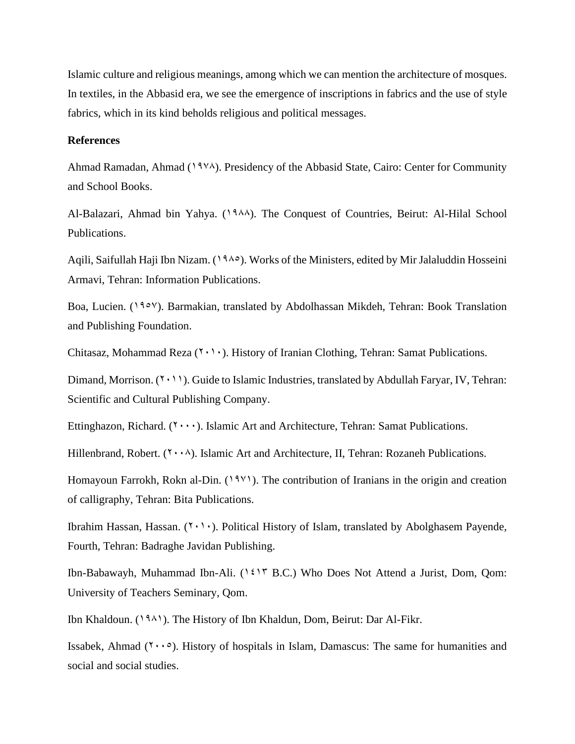Islamic culture and religious meanings, among which we can mention the architecture of mosques. In textiles, in the Abbasid era, we see the emergence of inscriptions in fabrics and the use of style fabrics, which in its kind beholds religious and political messages.

### **References**

Ahmad Ramadan, Ahmad (1978). Presidency of the Abbasid State, Cairo: Center for Community and School Books.

Al-Balazari, Ahmad bin Yahya. (1988). The Conquest of Countries, Beirut: Al-Hilal School Publications.

Agili, Saifullah Haji Ibn Nizam.  $(1980)$ . Works of the Ministers, edited by Mir Jalaluddin Hosseini Armavi, Tehran: Information Publications.

Boa, Lucien. (1957). Barmakian, translated by Abdolhassan Mikdeh, Tehran: Book Translation and Publishing Foundation.

Chitasaz, Mohammad Reza  $(1 \cdot 1)$ . History of Iranian Clothing, Tehran: Samat Publications.

Dimand, Morrison.  $(2 \cdot 1)$ . Guide to Islamic Industries, translated by Abdullah Faryar, IV, Tehran: Scientific and Cultural Publishing Company.

Ettinghazon, Richard.  $(1, \ldots)$ . Islamic Art and Architecture, Tehran: Samat Publications.

Hillenbrand, Robert.  $(Y \cdot \cdot \wedge)$ . Islamic Art and Architecture, II, Tehran: Rozaneh Publications.

Homayoun Farrokh, Rokn al-Din. (1981). The contribution of Iranians in the origin and creation of calligraphy, Tehran: Bita Publications.

Ibrahim Hassan, Hassan. (7,1,0). Political History of Islam, translated by Abolghasem Payende, Fourth, Tehran: Badraghe Javidan Publishing.

Ibn-Babawayh, Muhammad Ibn-Ali. (1413 B.C.) Who Does Not Attend a Jurist, Dom, Qom: University of Teachers Seminary, Qom.

Ibn Khaldoun. (1981). The History of Ibn Khaldun, Dom, Beirut: Dar Al-Fikr.

Issabek, Ahmad  $(1 \cdot \cdot \circ)$ . History of hospitals in Islam, Damascus: The same for humanities and social and social studies.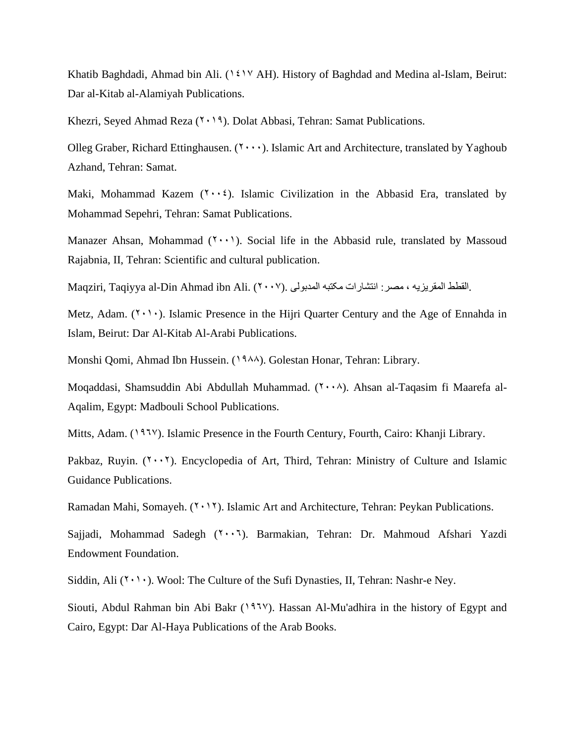Khatib Baghdadi, Ahmad bin Ali. (1417 AH). History of Baghdad and Medina al-Islam, Beirut: Dar al-Kitab al-Alamiyah Publications.

Khezri, Seyed Ahmad Reza  $(1, 1)$ . Dolat Abbasi, Tehran: Samat Publications.

Olleg Graber, Richard Ettinghausen.  $(1 \cdots)$ . Islamic Art and Architecture, translated by Yaghoub Azhand, Tehran: Samat.

Maki, Mohammad Kazem  $(1 \cdot \cdot i)$ . Islamic Civilization in the Abbasid Era, translated by Mohammad Sepehri, Tehran: Samat Publications.

Manazer Ahsan, Mohammad  $(1 \cdot \cdot)$ . Social life in the Abbasid rule, translated by Massoud Rajabnia, II, Tehran: Scientific and cultural publication.

Maqziri, Taqiyya al-Din Ahmad ibn Ali. (7007). القطط المقریزیه ، مصر : انتشارات مکتبه المدبولی.

Metz, Adam.  $(1 \cdot 1)$ . Islamic Presence in the Hijri Quarter Century and the Age of Ennahda in Islam, Beirut: Dar Al-Kitab Al-Arabi Publications.

Monshi Qomi, Ahmad Ibn Hussein. (1988). Golestan Honar, Tehran: Library.

Moqaddasi, Shamsuddin Abi Abdullah Muhammad. (7008). Ahsan al-Taqasim fi Maarefa al-Aqalim, Egypt: Madbouli School Publications.

Mitts, Adam. (1957). Islamic Presence in the Fourth Century, Fourth, Cairo: Khanji Library.

Pakbaz, Ruyin.  $(Y \cdot Y)$ . Encyclopedia of Art, Third, Tehran: Ministry of Culture and Islamic Guidance Publications.

Ramadan Mahi, Somayeh.  $(2 \cdot 17)$ . Islamic Art and Architecture, Tehran: Peykan Publications.

Sajjadi, Mohammad Sadegh (2006). Barmakian, Tehran: Dr. Mahmoud Afshari Yazdi Endowment Foundation.

Siddin, Ali  $(1 \cdot \cdot)$ . Wool: The Culture of the Sufi Dynasties, II, Tehran: Nashr-e Ney.

Siouti, Abdul Rahman bin Abi Bakr ( $197\%$ ). Hassan Al-Mu'adhira in the history of Egypt and Cairo, Egypt: Dar Al-Haya Publications of the Arab Books.